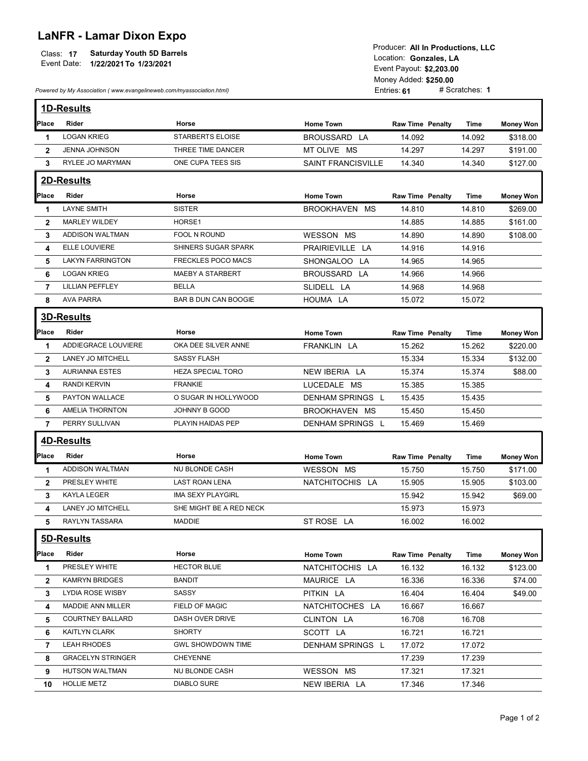## LaNFR - Lamar Dixon Expo

| $\overline{A}$ |                                  | I TOUUCCI. AIT III FTUUUCHUIIS. LLU |
|----------------|----------------------------------|-------------------------------------|
| Class:         | <b>Saturday Youth 5D Barrels</b> | Location: Gonzales, LA              |
| Event Date:    | 1/22/2021 To 1/23/2021           |                                     |
|                |                                  | Event Pavout: \$2.203.00            |

| <b>LaNFR - Lamar Dixon Expo</b><br><b>Saturday Youth 5D Barrels</b><br>Class: 17<br>Event Date:<br>1/22/2021 To 1/23/2021<br>Powered by My Association (www.evangelineweb.com/myassociation.html) |                          |                          | Producer: All In Productions, LLC<br>Location: Gonzales, LA<br>Event Payout: \$2,203.00<br>Money Added: \$250.00<br># Scratches: 1<br>Entries: 61 |                         |        |                  |  |  |
|---------------------------------------------------------------------------------------------------------------------------------------------------------------------------------------------------|--------------------------|--------------------------|---------------------------------------------------------------------------------------------------------------------------------------------------|-------------------------|--------|------------------|--|--|
|                                                                                                                                                                                                   |                          |                          |                                                                                                                                                   |                         |        |                  |  |  |
|                                                                                                                                                                                                   | 1D-Results               |                          |                                                                                                                                                   |                         |        |                  |  |  |
| Place                                                                                                                                                                                             | Rider                    | Horse                    | <b>Home Town</b>                                                                                                                                  | <b>Raw Time Penalty</b> | Time   | <b>Money Won</b> |  |  |
| 1                                                                                                                                                                                                 | <b>LOGAN KRIEG</b>       | STARBERTS ELOISE         | BROUSSARD LA                                                                                                                                      | 14.092                  | 14.092 | \$318.00         |  |  |
| $\mathbf{2}$                                                                                                                                                                                      | JENNA JOHNSON            | THREE TIME DANCER        | MT OLIVE MS                                                                                                                                       | 14.297                  | 14.297 | \$191.00         |  |  |
| 3                                                                                                                                                                                                 | RYLEE JO MARYMAN         | ONE CUPA TEES SIS        | <b>SAINT FRANCISVILLE</b>                                                                                                                         | 14.340                  | 14.340 | \$127.00         |  |  |
|                                                                                                                                                                                                   | 2D-Results               |                          |                                                                                                                                                   |                         |        |                  |  |  |
| Place                                                                                                                                                                                             | Rider                    | Horse                    | <b>Home Town</b>                                                                                                                                  | <b>Raw Time Penalty</b> | Time   | <b>Money Won</b> |  |  |
| $\mathbf 1$                                                                                                                                                                                       | <b>LAYNE SMITH</b>       | <b>SISTER</b>            | BROOKHAVEN MS                                                                                                                                     | 14.810                  | 14.810 | \$269.00         |  |  |
| $\mathbf{2}$                                                                                                                                                                                      | <b>MARLEY WILDEY</b>     | HORSE1                   |                                                                                                                                                   | 14.885                  | 14.885 | \$161.00         |  |  |
| 3                                                                                                                                                                                                 | ADDISON WALTMAN          | FOOL N ROUND             | WESSON MS                                                                                                                                         | 14.890                  | 14.890 | \$108.00         |  |  |
| 4                                                                                                                                                                                                 | ELLE LOUVIERE            | SHINERS SUGAR SPARK      | PRAIRIEVILLE LA                                                                                                                                   | 14.916                  | 14.916 |                  |  |  |
| 5                                                                                                                                                                                                 | <b>LAKYN FARRINGTON</b>  | FRECKLES POCO MACS       | SHONGALOO LA                                                                                                                                      | 14.965                  | 14.965 |                  |  |  |
| 6                                                                                                                                                                                                 | <b>LOGAN KRIEG</b>       | MAEBY A STARBERT         | BROUSSARD LA                                                                                                                                      | 14.966                  | 14.966 |                  |  |  |
| 7                                                                                                                                                                                                 | <b>LILLIAN PEFFLEY</b>   | <b>BELLA</b>             | SLIDELL LA                                                                                                                                        | 14.968                  | 14.968 |                  |  |  |
| 8                                                                                                                                                                                                 | AVA PARRA                | BAR B DUN CAN BOOGIE     | HOUMA LA                                                                                                                                          | 15.072                  | 15.072 |                  |  |  |
|                                                                                                                                                                                                   | <b>3D-Results</b>        |                          |                                                                                                                                                   |                         |        |                  |  |  |
|                                                                                                                                                                                                   |                          |                          |                                                                                                                                                   |                         |        |                  |  |  |
| Place                                                                                                                                                                                             | Rider                    | Horse                    | <b>Home Town</b>                                                                                                                                  | <b>Raw Time Penalty</b> | Time   | <b>Money Won</b> |  |  |
| -1                                                                                                                                                                                                | ADDIEGRACE LOUVIERE      | OKA DEE SILVER ANNE      | FRANKLIN LA                                                                                                                                       | 15.262                  | 15.262 | \$220.00         |  |  |
| $\mathbf{2}$                                                                                                                                                                                      | LANEY JO MITCHELL        | <b>SASSY FLASH</b>       |                                                                                                                                                   | 15.334                  | 15.334 | \$132.00         |  |  |
| 3                                                                                                                                                                                                 | <b>AURIANNA ESTES</b>    | HEZA SPECIAL TORO        | NEW IBERIA LA                                                                                                                                     | 15.374                  | 15.374 | \$88.00          |  |  |
| 4                                                                                                                                                                                                 | RANDI KERVIN             | <b>FRANKIE</b>           | LUCEDALE MS                                                                                                                                       | 15.385                  | 15.385 |                  |  |  |
| 5                                                                                                                                                                                                 | PAYTON WALLACE           | O SUGAR IN HOLLYWOOD     | DENHAM SPRINGS L                                                                                                                                  | 15.435                  | 15.435 |                  |  |  |
| 6                                                                                                                                                                                                 | <b>AMELIA THORNTON</b>   | JOHNNY B GOOD            | BROOKHAVEN MS                                                                                                                                     | 15.450                  | 15.450 |                  |  |  |
| 7                                                                                                                                                                                                 | PERRY SULLIVAN           | PLAYIN HAIDAS PEP        | DENHAM SPRINGS L                                                                                                                                  | 15.469                  | 15.469 |                  |  |  |
|                                                                                                                                                                                                   | <b>4D-Results</b>        |                          |                                                                                                                                                   |                         |        |                  |  |  |
| Place                                                                                                                                                                                             | Rider                    | Horse                    | <b>Home Town</b>                                                                                                                                  | <b>Raw Time Penalty</b> | Time   | <b>Money Won</b> |  |  |
| $\mathbf{1}$                                                                                                                                                                                      | ADDISON WALTMAN          | NU BLONDE CASH           | <b>WESSON MS</b>                                                                                                                                  | 15.750                  | 15.750 | \$171.00         |  |  |
| $\mathbf{2}$                                                                                                                                                                                      | PRESLEY WHITE            | <b>LAST ROAN LENA</b>    | NATCHITOCHIS LA                                                                                                                                   | 15.905                  | 15.905 | \$103.00         |  |  |
| 3                                                                                                                                                                                                 | KAYLA LEGER              | IMA SEXY PLAYGIRL        |                                                                                                                                                   | 15.942                  | 15.942 | \$69.00          |  |  |
| 4                                                                                                                                                                                                 | LANEY JO MITCHELL        | SHE MIGHT BE A RED NECK  |                                                                                                                                                   | 15.973                  | 15.973 |                  |  |  |
| 5                                                                                                                                                                                                 | RAYLYN TASSARA           | <b>MADDIE</b>            | ST ROSE LA                                                                                                                                        | 16.002                  | 16.002 |                  |  |  |
|                                                                                                                                                                                                   |                          |                          |                                                                                                                                                   |                         |        |                  |  |  |
|                                                                                                                                                                                                   | 5D-Results               |                          |                                                                                                                                                   |                         |        |                  |  |  |
| Place                                                                                                                                                                                             | Rider                    | Horse                    | <b>Home Town</b>                                                                                                                                  | <b>Raw Time Penalty</b> | Time   | <b>Money Won</b> |  |  |
| -1                                                                                                                                                                                                | PRESLEY WHITE            | <b>HECTOR BLUE</b>       | NATCHITOCHIS LA                                                                                                                                   | 16.132                  | 16.132 | \$123.00         |  |  |
| $\mathbf{2}$                                                                                                                                                                                      | <b>KAMRYN BRIDGES</b>    | <b>BANDIT</b>            | MAURICE LA                                                                                                                                        | 16.336                  | 16.336 | \$74.00          |  |  |
| 3                                                                                                                                                                                                 | <b>LYDIA ROSE WISBY</b>  | SASSY                    | PITKIN LA                                                                                                                                         | 16.404                  | 16.404 | \$49.00          |  |  |
|                                                                                                                                                                                                   | <b>MADDIE ANN MILLER</b> | FIELD OF MAGIC           | NATCHITOCHES LA                                                                                                                                   | 16.667                  | 16.667 |                  |  |  |
| 4                                                                                                                                                                                                 | <b>COURTNEY BALLARD</b>  | DASH OVER DRIVE          | CLINTON LA                                                                                                                                        | 16.708                  | 16.708 |                  |  |  |
| 5.                                                                                                                                                                                                |                          |                          |                                                                                                                                                   |                         |        |                  |  |  |
| 6                                                                                                                                                                                                 | KAITLYN CLARK            | <b>SHORTY</b>            | SCOTT LA                                                                                                                                          | 16.721                  | 16.721 |                  |  |  |
| 7                                                                                                                                                                                                 | LEAH RHODES              | <b>GWL SHOWDOWN TIME</b> | DENHAM SPRINGS L                                                                                                                                  | 17.072                  | 17.072 |                  |  |  |
| 8                                                                                                                                                                                                 | <b>GRACELYN STRINGER</b> | <b>CHEYENNE</b>          |                                                                                                                                                   | 17.239                  | 17.239 |                  |  |  |
| 9                                                                                                                                                                                                 | <b>HUTSON WALTMAN</b>    | NU BLONDE CASH           | WESSON MS                                                                                                                                         | 17.321                  | 17.321 |                  |  |  |